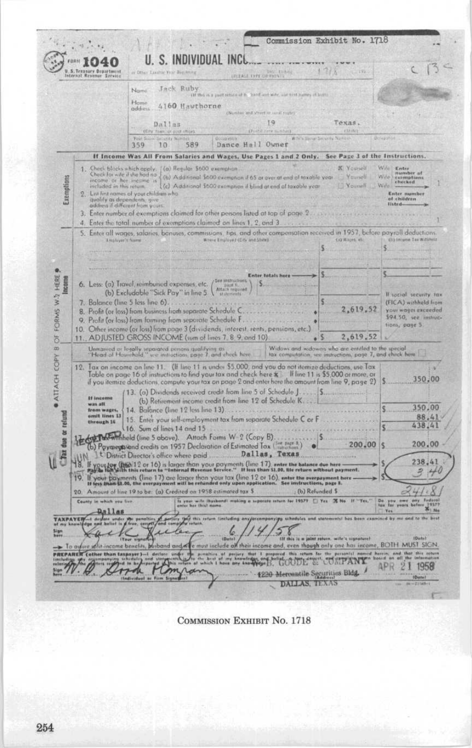|                 | U.S.Treasury Department<br>Internal Revenue Service         | U. S. INDIVIDUAL<br>in Drive Takitle Your Healthing                                                                                                                                                                                          |                                                         | <b>USEASE EVER OF PRINTS</b>                                            |                                                                                                                                                                                                                                         |                                              |                                                    |
|-----------------|-------------------------------------------------------------|----------------------------------------------------------------------------------------------------------------------------------------------------------------------------------------------------------------------------------------------|---------------------------------------------------------|-------------------------------------------------------------------------|-----------------------------------------------------------------------------------------------------------------------------------------------------------------------------------------------------------------------------------------|----------------------------------------------|----------------------------------------------------|
|                 |                                                             | Jack Ruby<br>Nami<br>Home<br>4160 Hawthorne<br>addiess                                                                                                                                                                                       |                                                         | (31 this is a most return of 6. 2008 and with a lit wist hanney of link |                                                                                                                                                                                                                                         |                                              |                                                    |
|                 |                                                             | Dallas<br>(City ham us post impe)                                                                                                                                                                                                            |                                                         | Outsides and arees or most model<br>19<br>(Ford cars school)            | Texas.<br>13.001                                                                                                                                                                                                                        |                                              |                                                    |
|                 |                                                             | <b>Year</b> 5<br>Security Aun<br>589<br>359<br>10                                                                                                                                                                                            | <b>DOGUD EDITOR</b><br>Dance Hall Owner                 |                                                                         | With's Security Names                                                                                                                                                                                                                   | <b>BENJAMIN</b>                              |                                                    |
|                 |                                                             | If Income Was All From Salaries and Wages, Use Pages 1 and 2 Only.                                                                                                                                                                           |                                                         |                                                                         | See Page 3 of the Instructions.                                                                                                                                                                                                         |                                              |                                                    |
| Exemptions      | income or her income is<br>included in this return.         | 1. Check blocks which apply. [ (a) Regular \$600 exemption.<br>Check for wife if the had no ((b) Additional \$600 exemption if 65 at aver at end of toxable year<br>2. List first names of your children who.                                |                                                         | (c) Additional \$600 exemption if blind at end of taxable year.         | X Younell<br><b>Yourell</b><br><b>Youngli</b>                                                                                                                                                                                           | Wife Kntss<br>Wife)<br>Willia<br>of children | number af<br>curmotions<br>checked<br>Enter number |
|                 | 4.                                                          | quality as dependents, give<br>address if different from yours<br>3. Enter number of exemptions claimed for other persons listed at top of page 2.<br>Enter the total number of exemptions claimed on lines 1, 2, and 3                      |                                                         |                                                                         |                                                                                                                                                                                                                                         | listed-                                      |                                                    |
|                 |                                                             | 5. Enter all wages, salaries, banuses, commissions, tips, and other componsation received in 1957, before payrall deductions.                                                                                                                |                                                         |                                                                         |                                                                                                                                                                                                                                         |                                              |                                                    |
|                 | Leophiyes is faams                                          |                                                                                                                                                                                                                                              | Where Employed (City and Shate)                         |                                                                         | COWALCH ALL                                                                                                                                                                                                                             |                                              | (It) Improve Tax Willineiz                         |
|                 |                                                             |                                                                                                                                                                                                                                              |                                                         |                                                                         |                                                                                                                                                                                                                                         |                                              |                                                    |
|                 |                                                             | 6. Less: (a) Travel, reimbursed expenses, etc.                                                                                                                                                                                               | <b>See instructions</b><br>Attach required              | <b>Enter totals here</b>                                                |                                                                                                                                                                                                                                         |                                              |                                                    |
|                 | (b) Excludable "Sick Pay" in line 5                         | If social security tax<br>(FICA) withheld from<br>2,619.52<br>your wages exceeded                                                                                                                                                            |                                                         |                                                                         |                                                                                                                                                                                                                                         |                                              |                                                    |
|                 | 7. Balance (line 5 less line $6$ ). $\ldots$                |                                                                                                                                                                                                                                              |                                                         |                                                                         |                                                                                                                                                                                                                                         |                                              |                                                    |
|                 | 8. Profit (or loss) from business from separate Schedule C. |                                                                                                                                                                                                                                              | \$94.50, see instruc-                                   |                                                                         |                                                                                                                                                                                                                                         |                                              |                                                    |
|                 |                                                             | 10. Other income (or loss) from poge 3 (dividends, interest, rents, pensions, etc.)                                                                                                                                                          |                                                         |                                                                         |                                                                                                                                                                                                                                         |                                              | tions, page 5                                      |
|                 |                                                             | 11. ADJUSTED GROSS INCOME (sum of lines 7, 8, 9, and 10).                                                                                                                                                                                    |                                                         |                                                                         | 2,619.52                                                                                                                                                                                                                                |                                              |                                                    |
|                 |                                                             | Unmanied or logally reparated persons qualifying as <b>Widows and widows who are entitled to the special</b><br>"Head of Hourehald." we instruction, page 7, and check hore <b>the accomputation</b> , we instruction, page 7, and check her |                                                         |                                                                         |                                                                                                                                                                                                                                         |                                              |                                                    |
|                 |                                                             | 12. Tax on income on line 11. (If line 11 is under \$5,000, and you do not itemize deductions, use Tax                                                                                                                                       |                                                         |                                                                         |                                                                                                                                                                                                                                         |                                              |                                                    |
|                 |                                                             | Table on page 16 of instructions to find your tax and check here $\kappa$ . If line 11 is \$5,000 or more, ar<br>if you itemize deductions, compute your tax on page $2$ and enter here the amount from line $9$ , page $2)$                 |                                                         |                                                                         |                                                                                                                                                                                                                                         |                                              | 350,00                                             |
|                 |                                                             | 13. (a) Dividends received credit from line 5 of Schedule J.  S                                                                                                                                                                              |                                                         |                                                                         |                                                                                                                                                                                                                                         |                                              |                                                    |
|                 | <b>Sf Income</b><br>was all.                                | (b) Retirement income credit from line 12 of Schedule K.                                                                                                                                                                                     |                                                         |                                                                         |                                                                                                                                                                                                                                         |                                              | 350.00                                             |
|                 | from wages.<br>omit lines 13<br>through 16                  | 14. Balance (line 12 less line 13)<br>15. Enter your self-employment tax from separate Schedule C or F                                                                                                                                       |                                                         |                                                                         |                                                                                                                                                                                                                                         |                                              | 88.41                                              |
|                 |                                                             | 16. Sum of lines 14 and 15.                                                                                                                                                                                                                  |                                                         |                                                                         |                                                                                                                                                                                                                                         |                                              | 438.41                                             |
| due or refund   |                                                             | Art Town Minheld (line 5 above). Attach Forms W-2 (Copy B).<br>(b) Payments/and credits on 1957 Declaration of Estimated Tax (For page 8.)<br>District Director's office where paid Dallas, Texas                                            |                                                         | ٠                                                                       | 200,00                                                                                                                                                                                                                                  |                                              | 200,00                                             |
|                 | ł8.                                                         | your Joy (1960-1-2 or 16) is larger than your payments (line-1-7), enter the balance due here<br>The light sith this return to "Internal Revenue Service." It less than \$1.00, lile return without payment.                                 |                                                         |                                                                         |                                                                                                                                                                                                                                         |                                              | 238.4                                              |
|                 | 10 <sup>1</sup>                                             | If your payments (line 17) are larger than your tax (line 12 or 16), enter the everpayment here.<br>If less than \$1.00, the everpayment will be retunded only upon application. See instructions, page 8.                                   |                                                         |                                                                         |                                                                                                                                                                                                                                         |                                              | 耍<br>H                                             |
|                 |                                                             | 20. Amount of line 19 to be: (a) Credited on 1958 estimated tax \$                                                                                                                                                                           |                                                         |                                                                         | (b) Refunded \$                                                                                                                                                                                                                         |                                              |                                                    |
|                 | County in which you live                                    |                                                                                                                                                                                                                                              |                                                         | Is your wife thusbord? making a superate rature for 1957? [ ] Yes       |                                                                                                                                                                                                                                         | bu<br>bu you wents h                         | Eastern                                            |
|                 | Dallam                                                      |                                                                                                                                                                                                                                              |                                                         |                                                                         |                                                                                                                                                                                                                                         | Yes                                          | 344                                                |
|                 | <b>TAXPAYER</b><br>deta                                     | fury they mix<br>painerTilles                                                                                                                                                                                                                | this return limbading any/accomponying<br>60<br>(Butch) |                                                                         | schedules und statements! has been examined by<br>Ilf this is a joint return, wife's signature!<br>whit income benefits, busband and Kee must include all their income and, even though only one has income, BOTH MUST SIGN.            |                                              | <b>IDetel</b>                                      |
|                 |                                                             |                                                                                                                                                                                                                                              |                                                         |                                                                         |                                                                                                                                                                                                                                         |                                              |                                                    |
| <b>PREPARER</b> | To assure<br>(other than taxpayer)                          |                                                                                                                                                                                                                                              |                                                         |                                                                         | .<br>and stations works the summitties of peopley that I proposed this setum for the personals named herein, and<br>reported White refurn of which I have any knowledge for the comparisons and strengthmartian for local on offic<br>r | APR<br>$\overline{2}$                        | that this seture<br>all the                        |

COMMISSION EXHIBIT No. 1718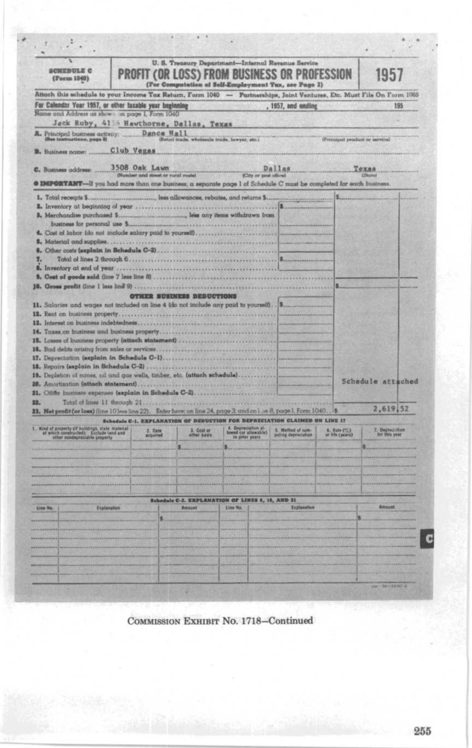|                                                                                                                                                                                                                                                                                                                                     |                                                    |                                  | U. S. Treasury Department-Internal Revenue Service                                                          |                                          |                                |                   |
|-------------------------------------------------------------------------------------------------------------------------------------------------------------------------------------------------------------------------------------------------------------------------------------------------------------------------------------|----------------------------------------------------|----------------------------------|-------------------------------------------------------------------------------------------------------------|------------------------------------------|--------------------------------|-------------------|
| SCHEDULE C<br>(Form 1040)                                                                                                                                                                                                                                                                                                           |                                                    |                                  | <b>PROFIT (OR LOSS) FROM BUSINESS OR PROFESSION</b><br>(For Computation of Self-Employment Tux, see Page 3) |                                          |                                | 1957              |
| Attach this schedule to your Income Tax Return, Form 1040 - Partnerships, Joint Ventures, Etc. Must File On Form 1085                                                                                                                                                                                                               |                                                    |                                  |                                                                                                             |                                          |                                |                   |
| For Calendar Year 1957, or other taxable year beginning<br>Name and Address as shown on page 1, Form 1040                                                                                                                                                                                                                           |                                                    |                                  |                                                                                                             | , 1957, and ending                       |                                | 195               |
| Jack Ruby, 4156 Hawthorne, Dallas, Texas                                                                                                                                                                                                                                                                                            |                                                    |                                  |                                                                                                             |                                          |                                |                   |
|                                                                                                                                                                                                                                                                                                                                     |                                                    |                                  |                                                                                                             |                                          | (Principed product or service) |                   |
| <b>B.</b> Business nome:                                                                                                                                                                                                                                                                                                            | Club Vegas                                         |                                  |                                                                                                             |                                          |                                |                   |
| C. Business address:                                                                                                                                                                                                                                                                                                                | 3508 Oak Lawn<br>fature Ignur to tanta breat redes |                                  | $\sum$ te or n                                                                                              | Dallas                                   |                                | Texas             |
| @ IMPORTANT-if you had more than one business, a separate page 1 of Schedule C must be completed for each business.                                                                                                                                                                                                                 |                                                    |                                  |                                                                                                             |                                          |                                |                   |
| 1. Total receipts \$                                                                                                                                                                                                                                                                                                                |                                                    |                                  | leas allowances, rebates, and returns \$                                                                    |                                          |                                |                   |
|                                                                                                                                                                                                                                                                                                                                     |                                                    |                                  |                                                                                                             |                                          |                                |                   |
|                                                                                                                                                                                                                                                                                                                                     |                                                    |                                  |                                                                                                             |                                          |                                |                   |
|                                                                                                                                                                                                                                                                                                                                     |                                                    |                                  |                                                                                                             |                                          |                                |                   |
| 4. Cost of labor (do not include salary paid to yourself)                                                                                                                                                                                                                                                                           |                                                    |                                  |                                                                                                             |                                          |                                |                   |
|                                                                                                                                                                                                                                                                                                                                     |                                                    |                                  |                                                                                                             |                                          |                                |                   |
| 7.                                                                                                                                                                                                                                                                                                                                  |                                                    |                                  |                                                                                                             |                                          |                                |                   |
|                                                                                                                                                                                                                                                                                                                                     |                                                    |                                  |                                                                                                             |                                          |                                |                   |
|                                                                                                                                                                                                                                                                                                                                     |                                                    |                                  |                                                                                                             |                                          |                                |                   |
|                                                                                                                                                                                                                                                                                                                                     |                                                    |                                  |                                                                                                             |                                          |                                |                   |
|                                                                                                                                                                                                                                                                                                                                     |                                                    | <b>OTHER BUSINESS DEDUCTIONS</b> |                                                                                                             |                                          |                                |                   |
| 11. Salaries and wages not included on line 4 (do not include any paid to yourself) [\$                                                                                                                                                                                                                                             |                                                    |                                  |                                                                                                             |                                          |                                |                   |
|                                                                                                                                                                                                                                                                                                                                     |                                                    |                                  |                                                                                                             |                                          |                                |                   |
|                                                                                                                                                                                                                                                                                                                                     |                                                    |                                  |                                                                                                             |                                          |                                |                   |
|                                                                                                                                                                                                                                                                                                                                     |                                                    |                                  |                                                                                                             |                                          |                                |                   |
|                                                                                                                                                                                                                                                                                                                                     |                                                    |                                  |                                                                                                             |                                          |                                |                   |
|                                                                                                                                                                                                                                                                                                                                     |                                                    |                                  |                                                                                                             |                                          |                                |                   |
|                                                                                                                                                                                                                                                                                                                                     |                                                    |                                  |                                                                                                             |                                          |                                |                   |
| 15. Losses of business property (attach statement)                                                                                                                                                                                                                                                                                  |                                                    |                                  |                                                                                                             |                                          |                                |                   |
|                                                                                                                                                                                                                                                                                                                                     |                                                    |                                  |                                                                                                             |                                          |                                |                   |
|                                                                                                                                                                                                                                                                                                                                     |                                                    |                                  |                                                                                                             |                                          |                                |                   |
|                                                                                                                                                                                                                                                                                                                                     |                                                    |                                  |                                                                                                             |                                          |                                | Schedule attached |
|                                                                                                                                                                                                                                                                                                                                     |                                                    |                                  |                                                                                                             |                                          |                                |                   |
|                                                                                                                                                                                                                                                                                                                                     |                                                    |                                  |                                                                                                             |                                          |                                | 2,619,52          |
|                                                                                                                                                                                                                                                                                                                                     |                                                    |                                  | Schedule C-1. EXPLANATION OF DEDUCTION FOR DEPRECIATION CLAIMED ON LINE 17                                  |                                          |                                |                   |
|                                                                                                                                                                                                                                                                                                                                     | 2. Date<br>acquired                                | 3. Cost or<br>other basis        | 4. Depreciation al.<br>kewed (or allowable)<br>in prior years                                               | 5. Method of com-<br>puting depreciation | 6. Rate (%)                    | 7. Depreciation   |
|                                                                                                                                                                                                                                                                                                                                     |                                                    |                                  |                                                                                                             |                                          |                                |                   |
| 19. Depletion of mines, oil and gas wells, timber, etc. (attach schedule)<br>22.<br>23. Net profit (or loss) (line 10 less line 22). Enter here; on line 24, page 3; and on line 8, page 1, Form 1040 \$<br>1. Kond at property (if buildings, state material of which constructed). Exclude tand and atter number-wealthe property |                                                    |                                  |                                                                                                             |                                          |                                |                   |
|                                                                                                                                                                                                                                                                                                                                     |                                                    |                                  |                                                                                                             |                                          |                                |                   |
|                                                                                                                                                                                                                                                                                                                                     |                                                    |                                  |                                                                                                             |                                          |                                |                   |
|                                                                                                                                                                                                                                                                                                                                     |                                                    |                                  |                                                                                                             |                                          |                                |                   |
|                                                                                                                                                                                                                                                                                                                                     |                                                    |                                  |                                                                                                             |                                          |                                |                   |
| Explanation                                                                                                                                                                                                                                                                                                                         |                                                    | <b>Amount</b>                    | <b>Schadule C-2, EXPLANATION OF LINES 6, 18, AND 21</b><br>Line No.                                         | Explanation                              |                                | <b>Amount</b>     |
|                                                                                                                                                                                                                                                                                                                                     |                                                    |                                  |                                                                                                             |                                          |                                |                   |
|                                                                                                                                                                                                                                                                                                                                     |                                                    |                                  |                                                                                                             |                                          |                                |                   |
|                                                                                                                                                                                                                                                                                                                                     |                                                    |                                  |                                                                                                             |                                          |                                |                   |
| Line No.                                                                                                                                                                                                                                                                                                                            |                                                    |                                  |                                                                                                             |                                          |                                |                   |
|                                                                                                                                                                                                                                                                                                                                     |                                                    |                                  |                                                                                                             |                                          |                                |                   |
|                                                                                                                                                                                                                                                                                                                                     |                                                    |                                  |                                                                                                             |                                          |                                |                   |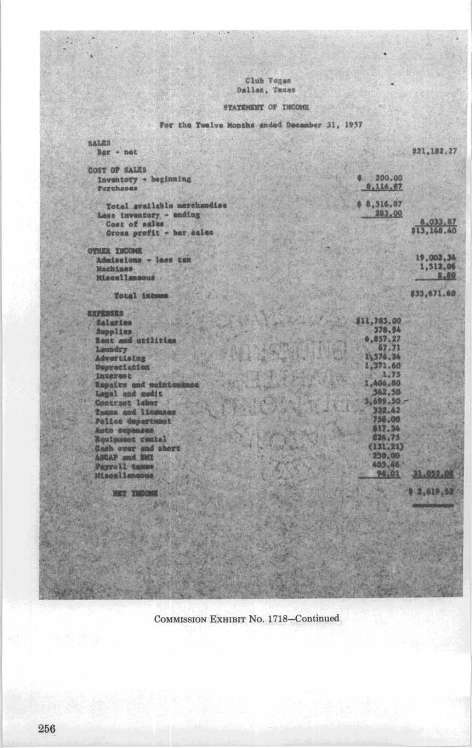# Club Voges<br>Dallas, Texas

# STATEMENT OF INCOME

# For the Twelve Months ended December 31, 1957

| <b>SALES</b><br>$Bar - not$          | \$21,182.27           |                  |
|--------------------------------------|-----------------------|------------------|
|                                      |                       |                  |
| <b>COST OF SALES</b>                 |                       |                  |
| Inventory - beginning                | 6200.00<br>8,116.67   |                  |
| Purchases                            |                       |                  |
| Total available merchandise          | 8,316,87              |                  |
| Less inventory - ending              | 283.00                |                  |
| Cost of sales                        | \$13,148.40           | 8,033.87         |
| Gross profit - bar sales             |                       |                  |
| <b>OTHER INCOME</b>                  |                       |                  |
| Admissions - less tax                |                       | 19,002.34        |
| Machines-                            |                       | 1,512.06<br>8,80 |
| Miscellancous                        |                       |                  |
| Total income                         | \$33,671.60           |                  |
| <b>EXPRESES</b>                      |                       |                  |
| an Money Company<br>Salaries         | 811,783.00            |                  |
| <b>Supplies</b>                      | 378.94<br>6,857.27    |                  |
| Rent and utilities<br>Laundry        | 67.71                 |                  |
| <b>Advertising</b>                   | 1,576.24              |                  |
| Dupreciation                         | 1,371.60              |                  |
| Interest                             | 1.75                  |                  |
| Repairs and maintesince              | 1,406,80              |                  |
| Legal and madit                      | 362,50                |                  |
| <b>WEND AVENUE</b><br>Contract labor | $3,699.30 -$          |                  |
| Taxas and licenses                   | 332.42<br>m<br>756.00 |                  |
| Police department                    | 817.34                |                  |
| Auto supenses<br>Equipment routel    | 3496<br>824,75        |                  |
| Here they<br>Gash over and short     | (131, 21)             |                  |
| <b>ASCAP and BMZ</b>                 | 230.00                |                  |
| Payroll taxes                        | 403.46                |                  |
|                                      | 94.01<br>31,052.00    |                  |
| <b>MET THOONE</b>                    | 3,619,52              |                  |
|                                      |                       |                  |
|                                      |                       |                  |
|                                      |                       |                  |
|                                      |                       |                  |
|                                      |                       |                  |
|                                      |                       |                  |
|                                      |                       |                  |
|                                      |                       |                  |
|                                      |                       |                  |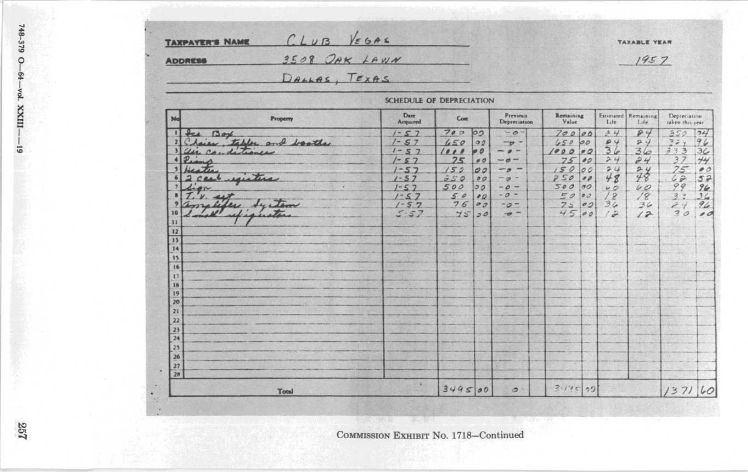|                 | 3508 OAK LAWN<br><b>ADDRESS</b> | 1957                     |        |                |                                 |                    |          |                |                             |                                               |                          |
|-----------------|---------------------------------|--------------------------|--------|----------------|---------------------------------|--------------------|----------|----------------|-----------------------------|-----------------------------------------------|--------------------------|
|                 | DALLAS, TEXAS                   |                          |        |                |                                 |                    |          |                |                             |                                               |                          |
|                 |                                 | SCHEDULE OF DEPRECIATION |        |                |                                 |                    |          |                |                             |                                               |                          |
| No              | Property                        | Date<br>Acquired         | Cost   |                | <b>Previous</b><br>Depreciation | Remaining<br>Value |          | L <sub>z</sub> | Estimated Remaining<br>1.44 | Depreciation <sup>1</sup><br>taken this year. |                          |
|                 | fee Box                         | $1 - 57$                 | 700    | 00             | $-0$                            | 70000              |          | 34             | 84                          | 350.                                          | 74                       |
|                 | Chaine, tables and boother      | $1 - 57$                 | 650    | O2             | $-99$                           | 650                | 00       | 94             | 24                          | 224                                           | 96                       |
|                 | air conditioner                 | $1 - 57$                 | 1000   | P              | $\sigma$                        | 1000               | P        | 36             | 36                          | 333                                           | 36                       |
|                 | Piano                           | $1 - 57$                 | 25     | 00             | $-6$                            | 75                 | 00       | 24             | 24                          | 37                                            | 44                       |
|                 | Deaths.                         | $1 - 57$                 | 152    | 00             | - 0                             | 150                | 00       | 24             |                             | 75                                            | $\bullet$ 0              |
|                 | 2 cast equative                 | $1 - 57$                 | 250    | 00             | $-\sigma$                       | 750                | 00       | 48             | 78                          | 62                                            | 52                       |
| $\overline{ }$  | Liga                            | $1 - 57$                 | 500    | 00             | $-0-$                           | 500                | $\sigma$ | U              | 40                          | 99                                            | 96                       |
|                 | $\nu.$ act                      | $1 - 57$                 | 50     | $\bullet$      | $-0 -$                          | EQ                 | 00       | 12             | 18                          | 3.3                                           | 36                       |
|                 | amelike System                  | $1 - 57$                 | 75     | O <sub>D</sub> | $-0-$                           | 75                 | 00       | 36             | 36                          | 24                                            | 94                       |
| 10              | I would !<br>refigueta          | $5 - 57$                 | 45     | 30             | $-\sigma$ -                     | 45                 | 00       | $\sim$         | 12                          | 30                                            | $\overline{\phantom{a}}$ |
| 33              |                                 |                          |        |                |                                 |                    |          |                |                             |                                               |                          |
| 12              |                                 |                          |        |                |                                 |                    |          |                |                             |                                               |                          |
| $\overline{1}$  |                                 |                          |        |                |                                 |                    |          |                |                             |                                               |                          |
| 14              |                                 |                          |        |                |                                 |                    |          |                |                             |                                               |                          |
| 15              |                                 |                          |        |                |                                 |                    |          |                |                             |                                               |                          |
| 16              |                                 |                          |        |                |                                 |                    |          |                |                             |                                               |                          |
| 17              |                                 |                          |        |                |                                 |                    |          |                |                             |                                               |                          |
| 18<br>19        |                                 |                          |        |                |                                 |                    |          |                |                             |                                               |                          |
| 20              |                                 |                          |        |                |                                 |                    |          |                |                             |                                               |                          |
| $\overline{21}$ |                                 |                          |        |                |                                 |                    |          |                |                             |                                               |                          |
| 22              |                                 |                          |        |                |                                 |                    |          |                |                             |                                               |                          |
| 23              |                                 |                          |        |                |                                 |                    |          |                |                             |                                               |                          |
| 24              |                                 |                          |        |                |                                 |                    |          |                |                             |                                               |                          |
| 23              |                                 |                          |        |                |                                 |                    |          |                |                             |                                               |                          |
| 26              |                                 |                          |        |                |                                 |                    |          |                |                             |                                               |                          |
| 27              |                                 |                          |        |                |                                 |                    |          |                |                             |                                               |                          |
| 28              |                                 |                          |        |                |                                 |                    |          |                |                             |                                               |                          |
|                 |                                 | 16.                      |        |                |                                 |                    |          |                |                             |                                               |                          |
|                 | Total                           |                          | 349500 |                | $\sigma$                        | $2.145$ 22         |          |                |                             | 1371                                          | 60                       |

**SANCE OF SILE** 

257

748-379 0-

-64-vol. XXIII-

 $\overline{6}$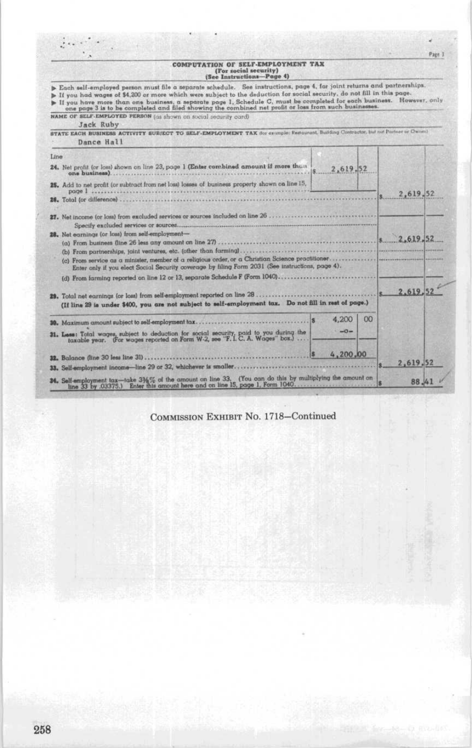| COMPUTATION OF SELF-EMPLOYMENT TAX<br>(For social security)<br>(See Instructions-Page 4)                                                                                                                                                                                                                                                                                                                                                                                             |          |
|--------------------------------------------------------------------------------------------------------------------------------------------------------------------------------------------------------------------------------------------------------------------------------------------------------------------------------------------------------------------------------------------------------------------------------------------------------------------------------------|----------|
| Each self-employed person must file a separate schedule. See instructions, page 4, for joint returns and partnerships.<br>> If you had wages of \$4,200 or more which were subject to the deduction for social security, do not fill in this page.<br>If you have more than one business, a separate page 1, Schedule C, must be completed for each business. However, only<br>one page 3 is to be completed and filed showing the combined net profit or loss from such businesses. |          |
| NAME OF SELF-EMPLOYED PERSON (as shown on social security card)<br>Jack Ruby                                                                                                                                                                                                                                                                                                                                                                                                         |          |
| STATE EACH BUSINESS ACTIVITY SUBJECT TO SELF-EMPLOYMENT TAX (for example: Restaurant, Building Contractor, but not Partner or Cannel<br>Dance Hall                                                                                                                                                                                                                                                                                                                                   |          |
| Line                                                                                                                                                                                                                                                                                                                                                                                                                                                                                 |          |
| 24. Net profit (or loss) shown on line 23, page 1 (Enter combined amount if more than<br>2.619.52<br>one business)                                                                                                                                                                                                                                                                                                                                                                   |          |
| 25. Add to net profit (or subtract from net losa) losses of business property shown on line 15.<br>page I issues                                                                                                                                                                                                                                                                                                                                                                     | 2,619,52 |
| 26. Total (or difference)                                                                                                                                                                                                                                                                                                                                                                                                                                                            |          |
|                                                                                                                                                                                                                                                                                                                                                                                                                                                                                      |          |
| 28. Net earnings (or loss) from self-employment-<br>2.619.52                                                                                                                                                                                                                                                                                                                                                                                                                         |          |
| (a) From business (line 26 less any amount on line 27)                                                                                                                                                                                                                                                                                                                                                                                                                               |          |
| (c) From service as a minister, member of a religious order, or a Christian Science practitioner.<br>Enter only if you elect Social Security coverage by filing Form 2031 (See instructions, page 4).                                                                                                                                                                                                                                                                                |          |
| (d) From farming reported on line 12 or 13, separate Schedule F (Form 1040)                                                                                                                                                                                                                                                                                                                                                                                                          |          |
| 29. Total net earnings (or loss) from self-employment reported on line 28<br>(If line 29 is under \$400, you are not subject to self-employment tax. Do not fill in rest of page.)                                                                                                                                                                                                                                                                                                   | 2.619.52 |
| 4,200<br>$^{00}$<br>s<br>30. Maximum amount subject to self-employment tax                                                                                                                                                                                                                                                                                                                                                                                                           |          |
| $-0-$<br>31. Less: Total wages, subject to deduction for social security, paid to you during the taxable year. (For wages reported on Form W-2, see "F.I.C.A. Wages" box.)                                                                                                                                                                                                                                                                                                           |          |
| 4,200,00<br>32. Balance (line 30 less line 31).                                                                                                                                                                                                                                                                                                                                                                                                                                      |          |
| 33. Self-employment income-line 29 or 32, whichever is smaller                                                                                                                                                                                                                                                                                                                                                                                                                       | 2,619.52 |
| 34. Self-employment tax-take 336% of the amount on line 33. (You can do this by multiplying the amount on                                                                                                                                                                                                                                                                                                                                                                            | 88.4     |

 $P_{200}$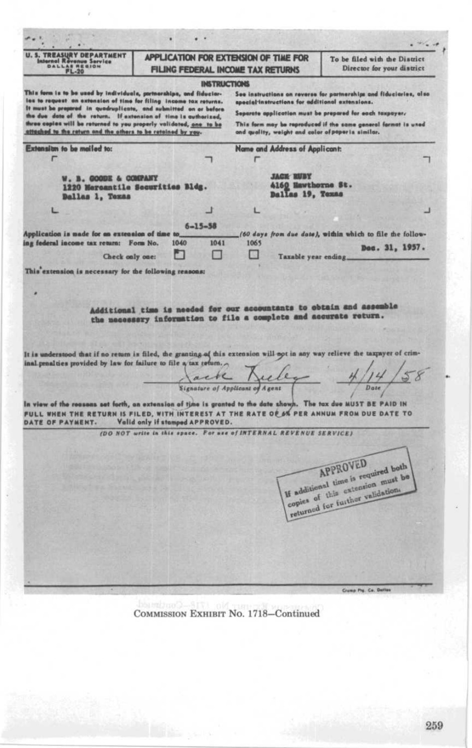$\sim$  .  $-2\epsilon - 1$ **U.S. TREASURY DEPARTMENT** APPLICATION FOR EXTENSION OF TIME FOR To be filed with the District **DALLAS AND Service**<br>RESION Director for your district FILING FEDERAL INCOME TAX RETURNS **INSTRUCTIONS** This form is to be used by individuals, partnerships, and fiducion-<br>les to request on extension of time for filing income tax returns.<br>It must be propared in quadruplicate, and submitted on or before<br>the due date of the re See instructions on reverse for partnerships and fiduciaries, also special instructions for additional extensions. Separate application must be prepared for each taxpayer, three copies will be returned to you properly validated, <u>one to be</u> This form may be reproduced if the same general format is uned attached to the return and the others to be retained by you. and quality, weight and color of poper is similar. Extension to be mailed to: Name and Address of Applicant: F  $\mathbf{r}$ **JACK BUBY** W. B. GOODE & COMPANY 4160 Hawthorne St. 1220 Marcantile Securities Bldg. Dallas 19, Texas Ballas 1, Texas z. ┚ £.  $6 - 15 - 58$ Application is made for an extension of time to (60 days from due date), within which to file the following federal income tax return: Form No. 1040 1041 1065 Dec. 31, 1957. m □ г Check only one: Taxable year ending This extension is necessary for the following reasons: Additional time is needed for our accountants to obtain and assemble the mecessary information to file a complete and accurate return. It is understood that if no return is filed, the granting of this extension will not in any way relieve the taxpayer of criminal penalties provided by law for failure to file a tax return. Signature of Applicant of Agent  $\overline{5}$  $14$ Date In view of the reasons set forth, an extension of time is granted to the date shows. The tax due MUST BE PAID IN FULL WHEN THE RETURN IS FILED, WITH INTEREST AT THE RATE OF A PER ANNUM FROM DUE DATE TO DATE OF PAYMENT. Valid only if stamped APPROVED. (DO NOT write in this space, For use of INTERNAL REVENUE SERVICE) APPROVED If additional time is required both copies of this extension must be returned for further validation. Course the Co. Dellies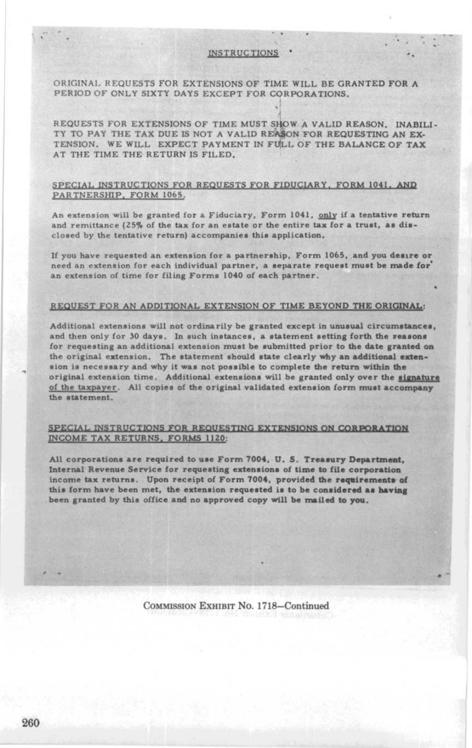## ORIGINAL REQUESTS FOR EXTENSIONS OF TIME WILL BE GRANTED FOR A PERIOD OF ONLY SIXTY DAYS EXCEPT FOR CORPORATIONS.

REQUESTS FOR EXTENSIONS OF TIME MUST SHOW A VALID REASON, INABILI-TY TO PAY THE TAX DUE IS NOT A VALID REASON FOR REQUESTING AN EX-TENSION. WE WILL EXPECT PAYMENT IN FULL OF THE BALANCE OF TAX AT THE TIME THE RETURN IS FILED,

### SPECIAL INSTRUCTIONS FOR REQUESTS FOR FIDUCIARY, FORM 1041, AND PARTNERSHIP, FORM 1065.

An extension will be granted for a Fiduciary, Form 1041, only if a tentative return and remittance (25% of the tax for an estate or the entire tax for a trust, as disclosed by the tentative return) accompanies this application.

If you have requested an extension for <sup>a</sup> partnership, Form 1065, and you desire or need an extension for each individual partner, a separate request must be made for an extension of time for filing Forms 1040 of each partner.

#### REQUEST FOR AN ADDITIONAL EXTENSION OF TIME BEYOND THE ORIGINAL :

Additional extensions will not ordinarily be granted except in unusual circumstances, and then only for 30 days. In such instances, a statement setting forth the reasons for requesting an additional extension must be submitted prior to the date granted on the original extension. The statement should state clearly why an additional extension is necessary and why it was not possible to complete the return within the original extension time . Additional extensions will be granted only over the signature of the taxpayer . All copies of the original validated extension form must accompany the statement.

## SPECIAL INSTRUCTIONS FOR REQUESTING EXTENSIONS ON CORPORATION INCOME TAX RETURNS, FORMS 1120:

All corporations are required to use Form 7004, U.S. Treasury Department, Internal Revenue Service for requesting extensions of time to file corporation income tax returns. Upon receipt of Form 7004, provided the requirements of this form have been met, the extension requested is to be considered as having been granted by this office and no approved copy will be mailed to you,